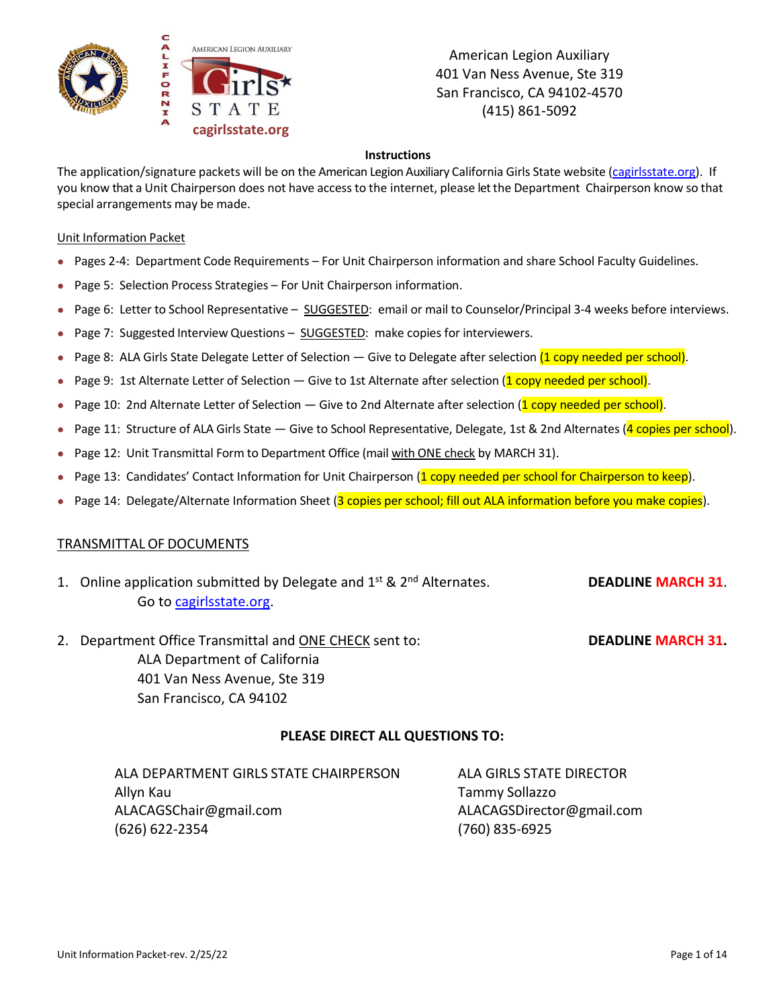

#### **Instructions**

The application/signature packets will be on the American Legion Auxiliary California Girls State website [\(cagirlsstate.org\)](https://www.cagirlsstate.org/). If you know that a Unit Chairperson does not have accessto the internet, please let the Department Chairperson know so that special arrangements may be made.

#### Unit Information Packet

- Pages 2-4: Department Code Requirements For Unit Chairperson information and share School Faculty Guidelines.
- Page 5: Selection Process Strategies For Unit Chairperson information.
- Page 6: Letter to School Representative SUGGESTED: email or mail to Counselor/Principal 3-4 weeks before interviews.
- Page 7: Suggested Interview Questions SUGGESTED: make copies for interviewers.
- Page 8: ALA Girls State Delegate Letter of Selection Give to Delegate after selection (1 copy needed per school).
- Page 9: 1st Alternate Letter of Selection Give to 1st Alternate after selection  $(1$  copy needed per school).
- Page 10: 2nd Alternate Letter of Selection Give to 2nd Alternate after selection (1 copy needed per school).
- Page 11: Structure of ALA Girls State Give to School Representative, Delegate, 1st & 2nd Alternates (4 copies per school).
- Page 12: Unit Transmittal Form to Department Office (mail with ONE check by MARCH 31).
- Page 13: Candidates' Contact Information for Unit Chairperson (1 copy needed per school for Chairperson to keep).
- Page 14: Delegate/Alternate Information Sheet (3 copies per school; fill out ALA information before you make copies).

#### TRANSMITTAL OF DOCUMENTS

- 1. Online application submitted by Delegate and 1st & 2nd Alternates. **DEADLINE MARCH 31**. Go t[o cagirlsstate.org.](https://www.cagirlsstate.org/delegates-alternates)
- 2. Department Office Transmittal and ONE CHECK sent to: **DEADLINE MARCH 31.** ALA Department of California 401 Van Ness Avenue, Ste 319 San Francisco, CA 94102

### **PLEASE DIRECT ALL QUESTIONS TO:**

| ALA DEPARTMENT GIRLS STATE CHAIRPERSON |
|----------------------------------------|
| Allyn Kau                              |
| ALACAGSChair@gmail.com                 |
| (626) 622-2354                         |

ALA GIRLS STATE DIRECTOR Tammy Sollazzo ALACAGSDirector@gmail.com (760) 835-6925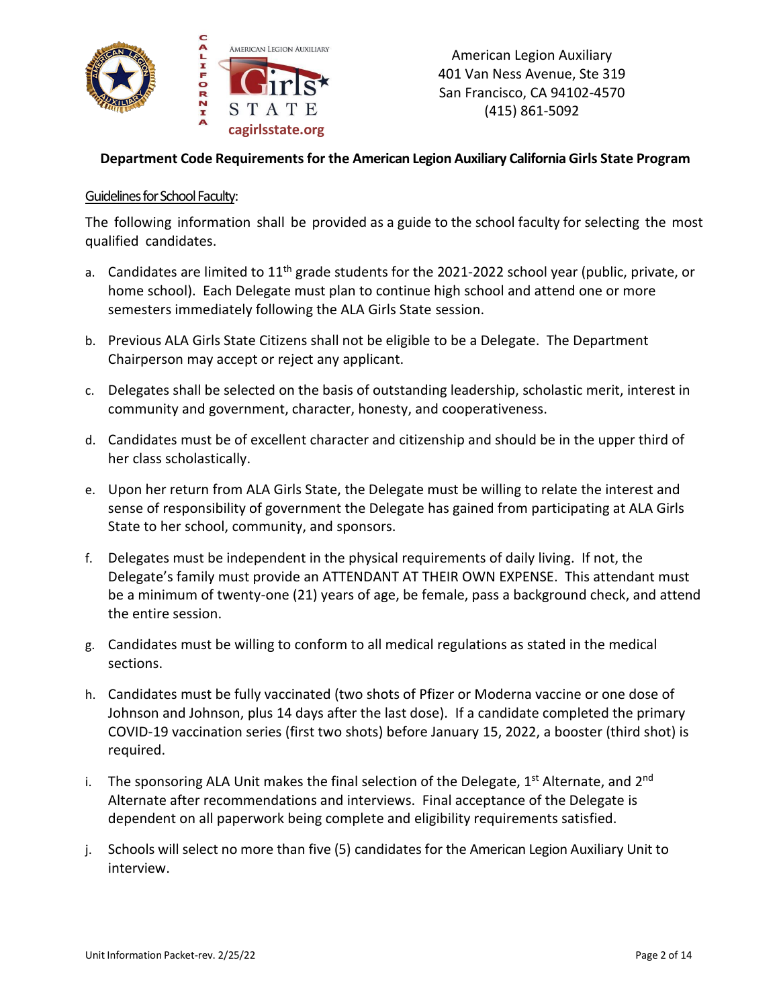

## **Department Code Requirementsfor the American Legion Auxiliary California Girls State Program**

#### Guidelines for School Faculty:

The following information shall be provided as a guide to the school faculty for selecting the most qualified candidates.

- a. Candidates are limited to 11<sup>th</sup> grade students for the 2021-2022 school year (public, private, or home school). Each Delegate must plan to continue high school and attend one or more semesters immediately following the ALA Girls State session.
- b. Previous ALA Girls State Citizens shall not be eligible to be a Delegate. The Department Chairperson may accept or reject any applicant.
- c. Delegates shall be selected on the basis of outstanding leadership, scholastic merit, interest in community and government, character, honesty, and cooperativeness.
- d. Candidates must be of excellent character and citizenship and should be in the upper third of her class scholastically.
- e. Upon her return from ALA Girls State, the Delegate must be willing to relate the interest and sense of responsibility of government the Delegate has gained from participating at ALA Girls State to her school, community, and sponsors.
- f. Delegates must be independent in the physical requirements of daily living. If not, the Delegate's family must provide an ATTENDANT AT THEIR OWN EXPENSE. This attendant must be a minimum of twenty-one (21) years of age, be female, pass a background check, and attend the entire session.
- g. Candidates must be willing to conform to all medical regulations as stated in the medical sections.
- h. Candidates must be fully vaccinated (two shots of Pfizer or Moderna vaccine or one dose of Johnson and Johnson, plus 14 days after the last dose). If a candidate completed the primary COVID-19 vaccination series (first two shots) before January 15, 2022, a booster (third shot) is required.
- i. The sponsoring ALA Unit makes the final selection of the Delegate,  $1^{st}$  Alternate, and  $2^{nd}$ Alternate after recommendations and interviews. Final acceptance of the Delegate is dependent on all paperwork being complete and eligibility requirements satisfied.
- j. Schools will select no more than five (5) candidates for the American Legion Auxiliary Unit to interview.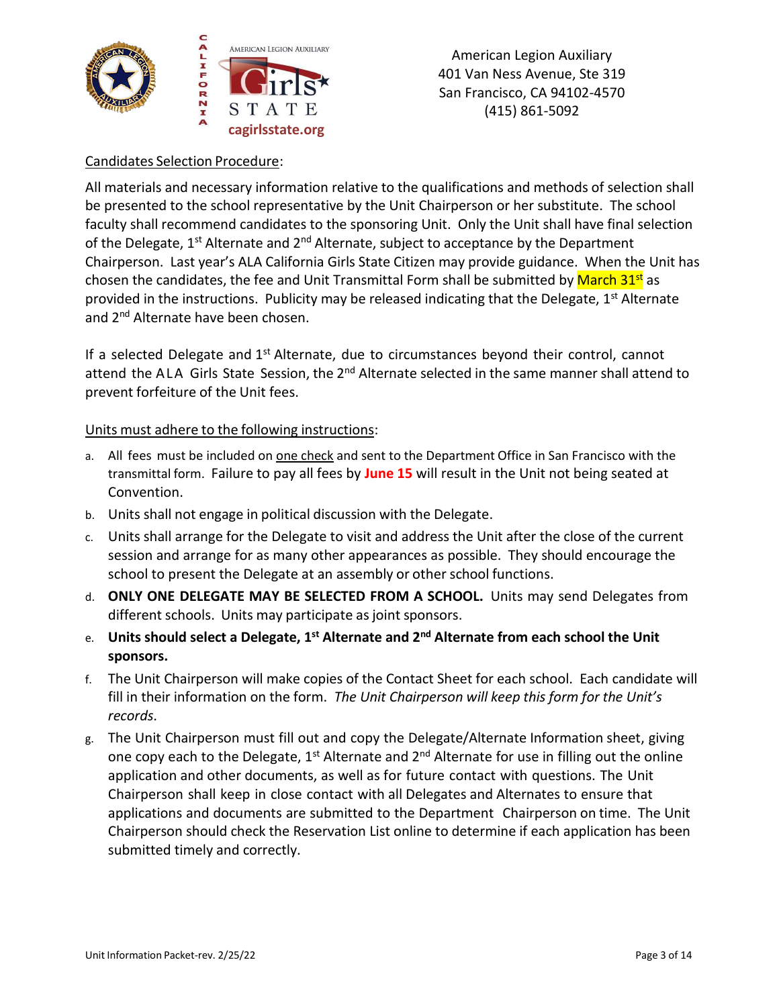

## Candidates Selection Procedure:

All materials and necessary information relative to the qualifications and methods of selection shall be presented to the school representative by the Unit Chairperson or her substitute. The school faculty shall recommend candidates to the sponsoring Unit. Only the Unit shall have final selection of the Delegate,  $1^{st}$  Alternate and  $2^{nd}$  Alternate, subject to acceptance by the Department Chairperson. Last year's ALA California Girls State Citizen may provide guidance. When the Unit has chosen the candidates, the fee and Unit Transmittal Form shall be submitted by March 31<sup>st</sup> as provided in the instructions. Publicity may be released indicating that the Delegate, 1<sup>st</sup> Alternate and 2<sup>nd</sup> Alternate have been chosen.

If a selected Delegate and  $1<sup>st</sup>$  Alternate, due to circumstances beyond their control, cannot attend the ALA Girls State Session, the 2<sup>nd</sup> Alternate selected in the same manner shall attend to prevent forfeiture of the Unit fees.

### Units must adhere to the following instructions:

- a. All fees must be included on one check and sent to the Department Office in San Francisco with the transmittal form. Failure to pay all fees by **June 15** will result in the Unit not being seated at Convention.
- b. Units shall not engage in political discussion with the Delegate.
- c. Units shall arrange for the Delegate to visit and address the Unit after the close of the current session and arrange for as many other appearances as possible. They should encourage the school to present the Delegate at an assembly or other school functions.
- d. **ONLY ONE DELEGATE MAY BE SELECTED FROM A SCHOOL.** Units may send Delegates from different schools. Units may participate as joint sponsors.
- e. **Units should select a Delegate, 1st Alternate and 2nd Alternate from each school the Unit sponsors.**
- f. The Unit Chairperson will make copies of the Contact Sheet for each school. Each candidate will fill in their information on the form. *The Unit Chairperson will keep this form for the Unit's records*.
- g. The Unit Chairperson must fill out and copy the Delegate/Alternate Information sheet, giving one copy each to the Delegate,  $1^{st}$  Alternate and  $2^{nd}$  Alternate for use in filling out the online application and other documents, as well as for future contact with questions. The Unit Chairperson shall keep in close contact with all Delegates and Alternates to ensure that applications and documents are submitted to the Department Chairperson on time. The Unit Chairperson should check the Reservation List online to determine if each application has been submitted timely and correctly.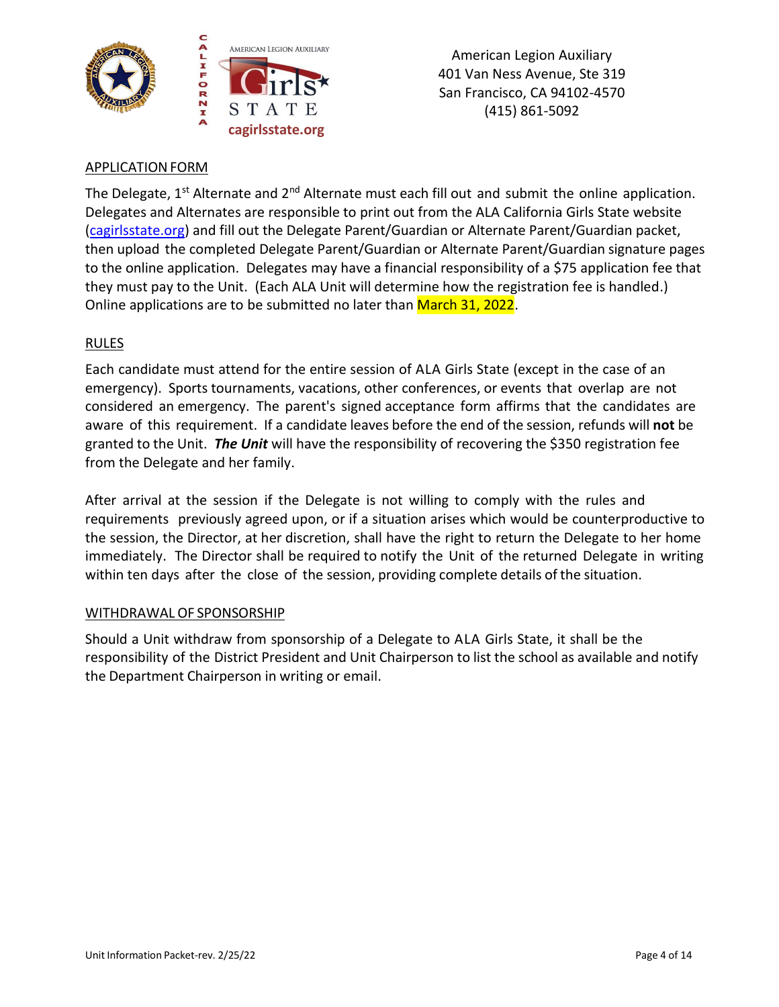



# **APPLICATION FORM**

The Delegate,  $1^{st}$  Alternate and  $2^{nd}$  Alternate must each fill out and submit the online application. Delegates and Alternates are responsible to print out from the ALA California Girls State website [\(cagirlsstate.org\)](https://www.cagirlsstate.org/) and fill out the Delegate Parent/Guardian or Alternate Parent/Guardian packet, then upload the completed Delegate Parent/Guardian or Alternate Parent/Guardian signature pages to the online application. Delegates may have a financial responsibility of a \$75 application fee that they must pay to the Unit. (Each ALA Unit will determine how the registration fee is handled.) Online applications are to be submitted no later than March 31, 2022.

# RULES

Each candidate must attend for the entire session of ALA Girls State (except in the case of an emergency). Sports tournaments, vacations, other conferences, or events that overlap are not considered an emergency. The parent's signed acceptance form affirms that the candidates are aware of this requirement. If a candidate leaves before the end of the session, refunds will **not** be granted to the Unit. *The Unit* will have the responsibility of recovering the \$350 registration fee from the Delegate and her family.

After arrival at the session if the Delegate is not willing to comply with the rules and requirements previously agreed upon, or if a situation arises which would be counterproductive to the session, the Director, at her discretion, shall have the right to return the Delegate to her home immediately. The Director shall be required to notify the Unit of the returned Delegate in writing within ten days after the close of the session, providing complete details of the situation.

# WITHDRAWAL OF SPONSORSHIP

Should a Unit withdraw from sponsorship of a Delegate to ALA Girls State, it shall be the responsibility of the District President and Unit Chairperson to list the school as available and notify the Department Chairperson in writing or email.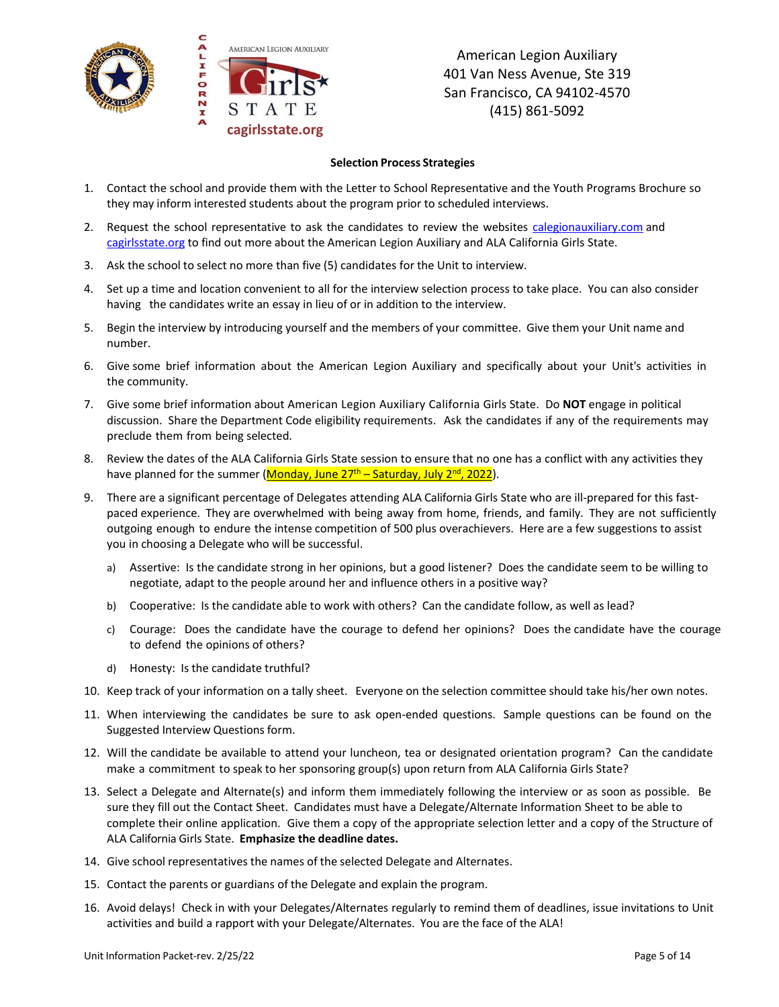

#### **Selection Process Strategies**

- 1. Contact the school and provide them with the Letter to School Representative and the Youth Programs Brochure so they may inform interested students about the program prior to scheduled interviews.
- 2. Request the school representative to ask the candidates to review the websites [calegionauxiliary.com](http://calegionauxiliary.com/) and [cagirlsstate.org](http://www.cagirlsstate.org/) to find out more about the American Legion Auxiliary and ALA California Girls State.
- 3. Ask the school to select no more than five (5) candidates for the Unit to interview.
- 4. Set up a time and location convenient to all for the interview selection process to take place. You can also consider having the candidates write an essay in lieu of or in addition to the interview.
- 5. Begin the interview by introducing yourself and the members of your committee. Give them your Unit name and number.
- 6. Give some brief information about the American Legion Auxiliary and specifically about your Unit's activities in the community.
- 7. Give some brief information about American Legion Auxiliary California Girls State. Do **NOT** engage in political discussion. Share the Department Code eligibility requirements. Ask the candidates if any of the requirements may preclude them from being selected.
- 8. Review the dates of the ALA California Girls State session to ensure that no one has a conflict with any activities they have planned for the summer (<mark>Monday, June 27<sup>th</sup> – Saturday, July 2<sup>nd</sup>, 2022</mark>).
- 9. There are a significant percentage of Delegates attending ALA California Girls State who are ill-prepared for this fastpaced experience. They are overwhelmed with being away from home, friends, and family. They are not sufficiently outgoing enough to endure the intense competition of 500 plus overachievers. Here are a few suggestions to assist you in choosing a Delegate who will be successful.
	- a) Assertive: Is the candidate strong in her opinions, but a good listener? Does the candidate seem to be willing to negotiate, adapt to the people around her and influence others in a positive way?
	- b) Cooperative: Is the candidate able to work with others? Can the candidate follow, as well as lead?
	- c) Courage: Does the candidate have the courage to defend her opinions? Does the candidate have the courage to defend the opinions of others?
	- d) Honesty: Is the candidate truthful?
- 10. Keep track of your information on a tally sheet. Everyone on the selection committee should take his/her own notes.
- 11. When interviewing the candidates be sure to ask open-ended questions. Sample questions can be found on the Suggested Interview Questions form.
- 12. Will the candidate be available to attend your luncheon, tea or designated orientation program? Can the candidate make a commitment to speak to her sponsoring group(s) upon return from ALA California Girls State?
- 13. Select a Delegate and Alternate(s) and inform them immediately following the interview or as soon as possible. Be sure they fill out the Contact Sheet. Candidates must have a Delegate/Alternate Information Sheet to be able to complete their online application. Give them a copy of the appropriate selection letter and a copy of the Structure of ALA California Girls State. **Emphasize the deadline dates.**
- 14. Give school representatives the names of the selected Delegate and Alternates.
- 15. Contact the parents or guardians of the Delegate and explain the program.
- 16. Avoid delays! Check in with your Delegates/Alternates regularly to remind them of deadlines, issue invitations to Unit activities and build a rapport with your Delegate/Alternates. You are the face of the ALA!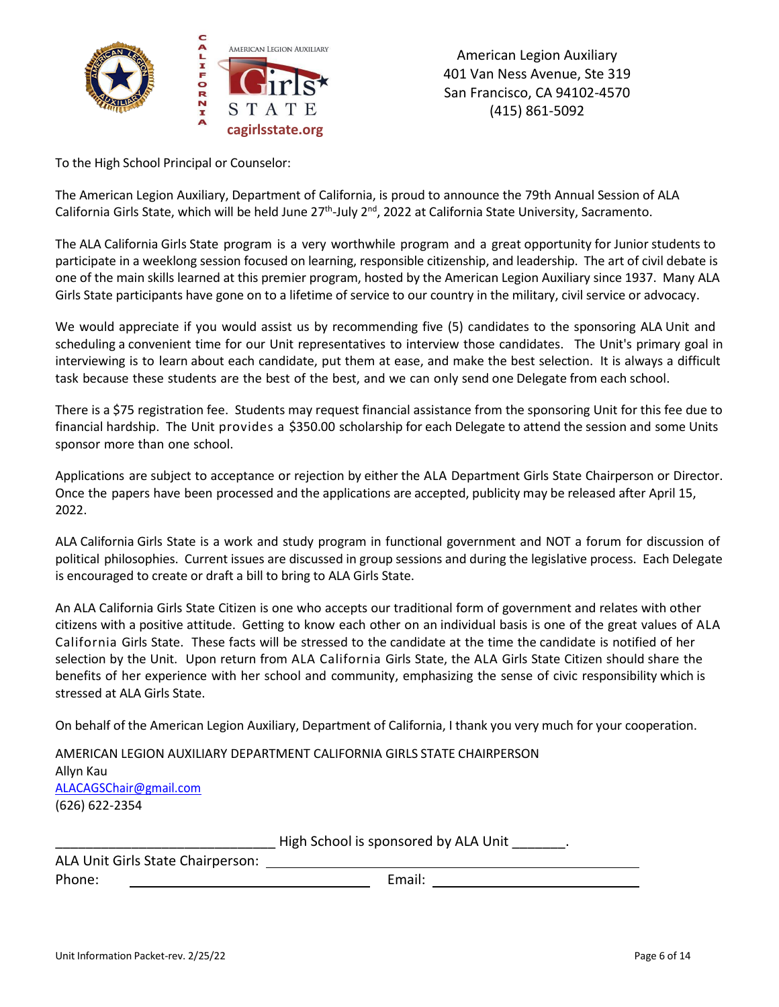

To the High School Principal or Counselor:

The American Legion Auxiliary, Department of California, is proud to announce the 79th Annual Session of ALA California Girls State, which will be held June 27<sup>th</sup>-July 2<sup>nd</sup>, 2022 at California State University, Sacramento.

The ALA California Girls State program is a very worthwhile program and a great opportunity for Junior students to participate in a weeklong session focused on learning, responsible citizenship, and leadership. The art of civil debate is one of the main skills learned at this premier program, hosted by the American Legion Auxiliary since 1937. Many ALA Girls State participants have gone on to a lifetime of service to our country in the military, civil service or advocacy.

We would appreciate if you would assist us by recommending five (5) candidates to the sponsoring ALA Unit and scheduling a convenient time for our Unit representatives to interview those candidates. The Unit's primary goal in interviewing is to learn about each candidate, put them at ease, and make the best selection. It is always a difficult task because these students are the best of the best, and we can only send one Delegate from each school.

There is a \$75 registration fee. Students may request financial assistance from the sponsoring Unit for this fee due to financial hardship. The Unit provides a \$350.00 scholarship for each Delegate to attend the session and some Units sponsor more than one school.

Applications are subject to acceptance or rejection by either the ALA Department Girls State Chairperson or Director. Once the papers have been processed and the applications are accepted, publicity may be released after April 15, 2022.

ALA California Girls State is a work and study program in functional government and NOT a forum for discussion of political philosophies. Current issues are discussed in group sessions and during the legislative process. Each Delegate is encouraged to create or draft a bill to bring to ALA Girls State.

An ALA California Girls State Citizen is one who accepts our traditional form of government and relates with other citizens with a positive attitude. Getting to know each other on an individual basis is one of the great values of ALA California Girls State. These facts will be stressed to the candidate at the time the candidate is notified of her selection by the Unit. Upon return from ALA California Girls State, the ALA Girls State Citizen should share the benefits of her experience with her school and community, emphasizing the sense of civic responsibility which is stressed at ALA Girls State.

On behalf of the American Legion Auxiliary, Department of California, I thank you very much for your cooperation.

AMERICAN LEGION AUXILIARY DEPARTMENT CALIFORNIA GIRLS STATE CHAIRPERSON Allyn Kau [ALACAGSChair@gmail.com](mailto:ALACAGSChair@gmail.com) (626) 622-2354

High School is sponsored by ALA Unit Figh School is sponsored by ALA Unit

| ALA Unit Girls State Chairperson: |        |
|-----------------------------------|--------|
| Phone:                            | Email: |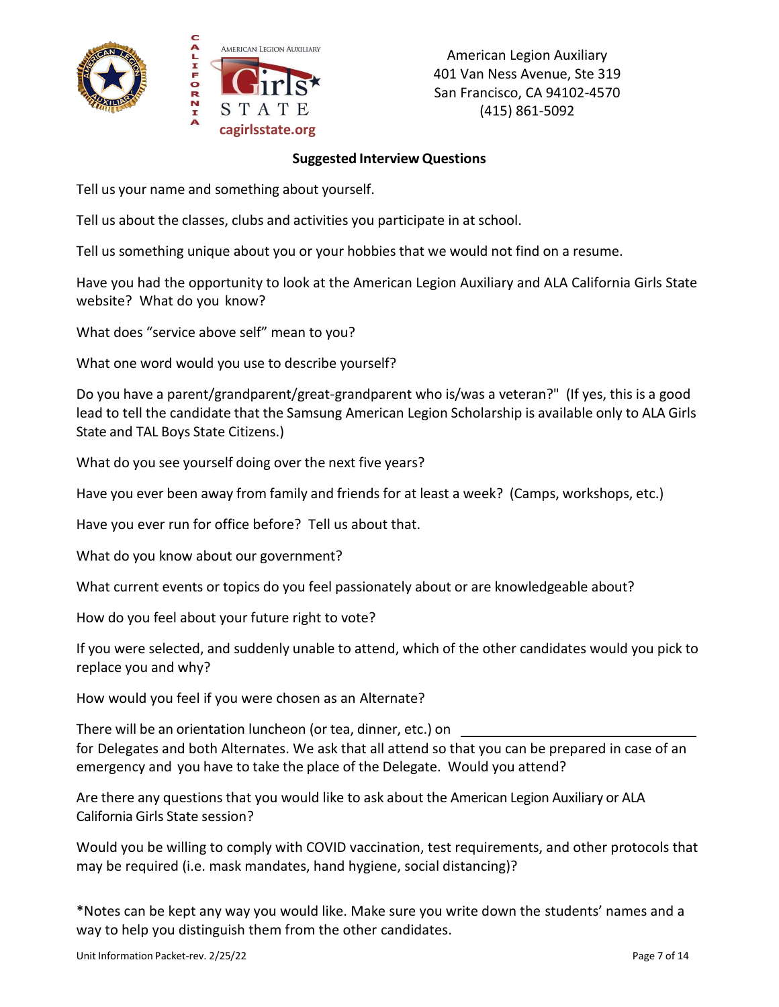

### **Suggested Interview Questions**

Tell us your name and something about yourself.

Tell us about the classes, clubs and activities you participate in at school.

Tell us something unique about you or your hobbies that we would not find on a resume.

Have you had the opportunity to look at the American Legion Auxiliary and ALA California Girls State website? What do you know?

What does "service above self" mean to you?

What one word would you use to describe yourself?

Do you have a parent/grandparent/great-grandparent who is/was a veteran?" (If yes, this is a good lead to tell the candidate that the Samsung American Legion Scholarship is available only to ALA Girls State and TAL Boys State Citizens.)

What do you see yourself doing over the next five years?

Have you ever been away from family and friends for at least a week? (Camps, workshops, etc.)

Have you ever run for office before? Tell us about that.

What do you know about our government?

What current events or topics do you feel passionately about or are knowledgeable about?

How do you feel about your future right to vote?

If you were selected, and suddenly unable to attend, which of the other candidates would you pick to replace you and why?

How would you feel if you were chosen as an Alternate?

There will be an orientation luncheon (or tea, dinner, etc.) on for Delegates and both Alternates. We ask that all attend so that you can be prepared in case of an emergency and you have to take the place of the Delegate. Would you attend?

Are there any questions that you would like to ask about the American Legion Auxiliary or ALA California Girls State session?

Would you be willing to comply with COVID vaccination, test requirements, and other protocols that may be required (i.e. mask mandates, hand hygiene, social distancing)?

\*Notes can be kept any way you would like. Make sure you write down the students' names and a way to help you distinguish them from the other candidates.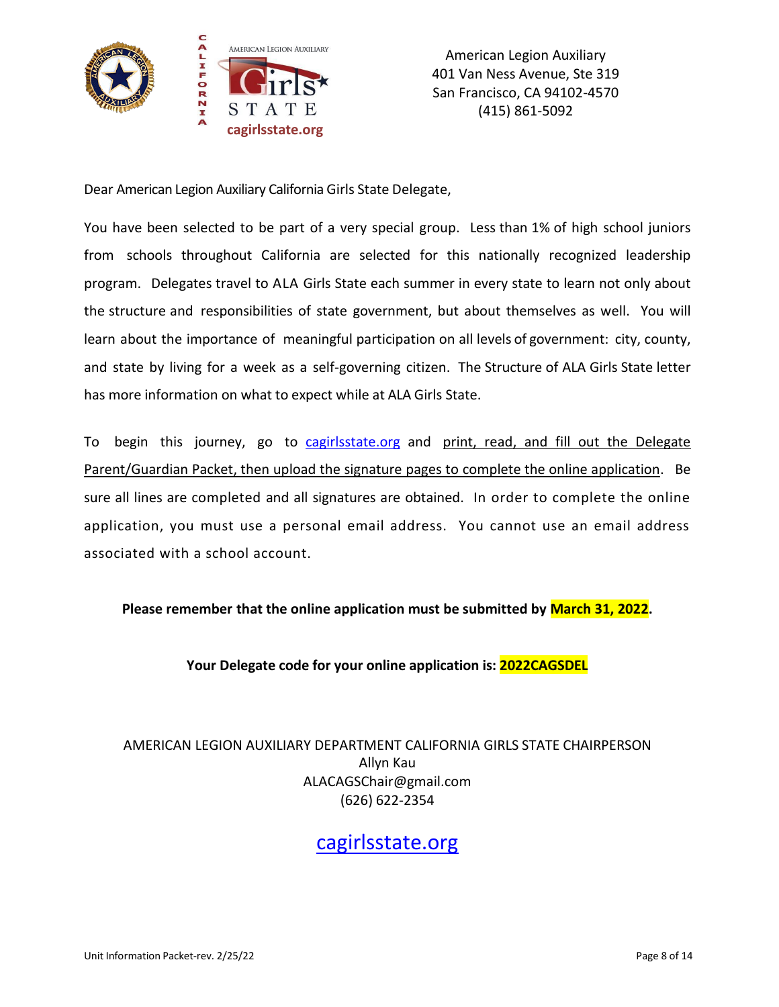

Dear American Legion Auxiliary California Girls State Delegate,

You have been selected to be part of a very special group. Less than 1% of high school juniors from schools throughout California are selected for this nationally recognized leadership program. Delegates travel to ALA Girls State each summer in every state to learn not only about the structure and responsibilities of state government, but about themselves as well. You will learn about the importance of meaningful participation on all levels of government: city, county, and state by living for a week as a self-governing citizen. The Structure of ALA Girls State letter has more information on what to expect while at ALA Girls State.

To begin this journey, go to [cagirlsstate.org](https://www.cagirlsstate.org/) and print, read, and fill out the Delegate Parent/Guardian Packet, then upload the signature pages to complete the online application. Be sure all lines are completed and all signatures are obtained. In order to complete the online application, you must use a personal email address. You cannot use an email address associated with a school account.

**Please remember that the online application must be submitted by March 31, 2022.**

**Your Delegate code for your online application is: 2022CAGSDEL**

AMERICAN LEGION AUXILIARY DEPARTMENT CALIFORNIA GIRLS STATE CHAIRPERSON Allyn Kau ALACAGSChair@gmail.com (626) 622-2354

[cagirlsstate.org](https://www.cagirlsstate.org/)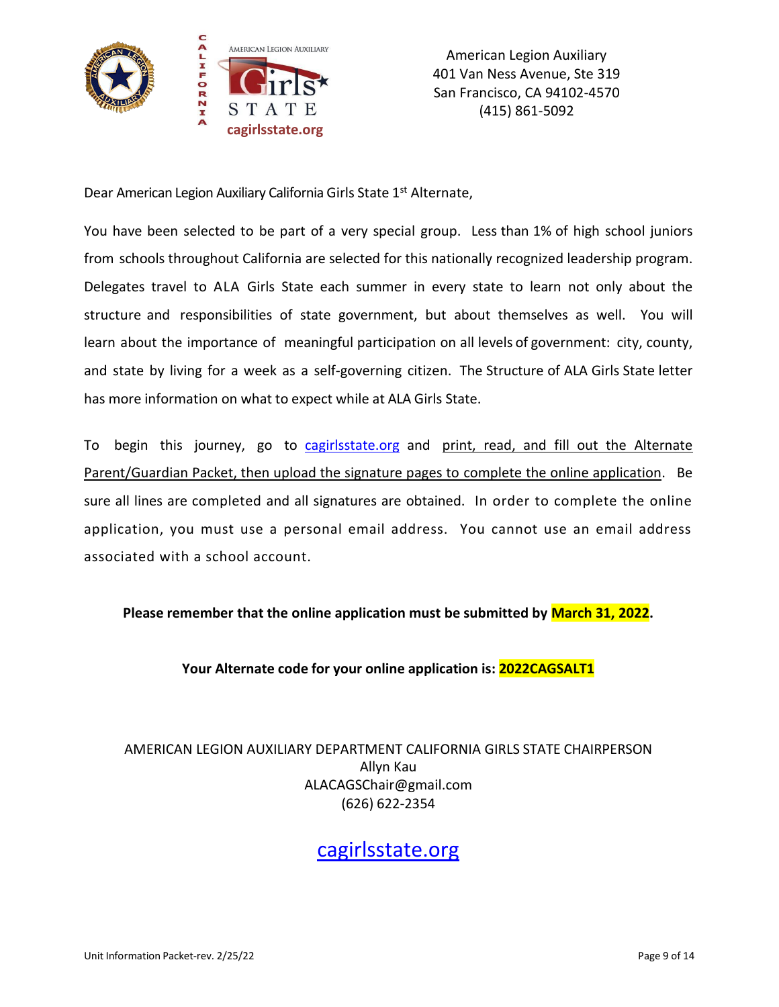

Dear American Legion Auxiliary California Girls State 1<sup>st</sup> Alternate,

You have been selected to be part of a very special group. Less than 1% of high school juniors from schools throughout California are selected for this nationally recognized leadership program. Delegates travel to ALA Girls State each summer in every state to learn not only about the structure and responsibilities of state government, but about themselves as well. You will learn about the importance of meaningful participation on all levels of government: city, county, and state by living for a week as a self-governing citizen. The Structure of ALA Girls State letter has more information on what to expect while at ALA Girls State.

To begin this journey, go to [cagirlsstate.org](https://www.cagirlsstate.org/) and print, read, and fill out the Alternate Parent/Guardian Packet, then upload the signature pages to complete the online application. Be sure all lines are completed and all signatures are obtained. In order to complete the online application, you must use a personal email address. You cannot use an email address associated with a school account.

**Please remember that the online application must be submitted by March 31, 2022.**

**Your Alternate code for your online application is: 2022CAGSALT1**

AMERICAN LEGION AUXILIARY DEPARTMENT CALIFORNIA GIRLS STATE CHAIRPERSON Allyn Kau ALACAGSChair@gmail.com (626) 622-2354

[cagirlsstate.org](https://www.cagirlsstate.org/)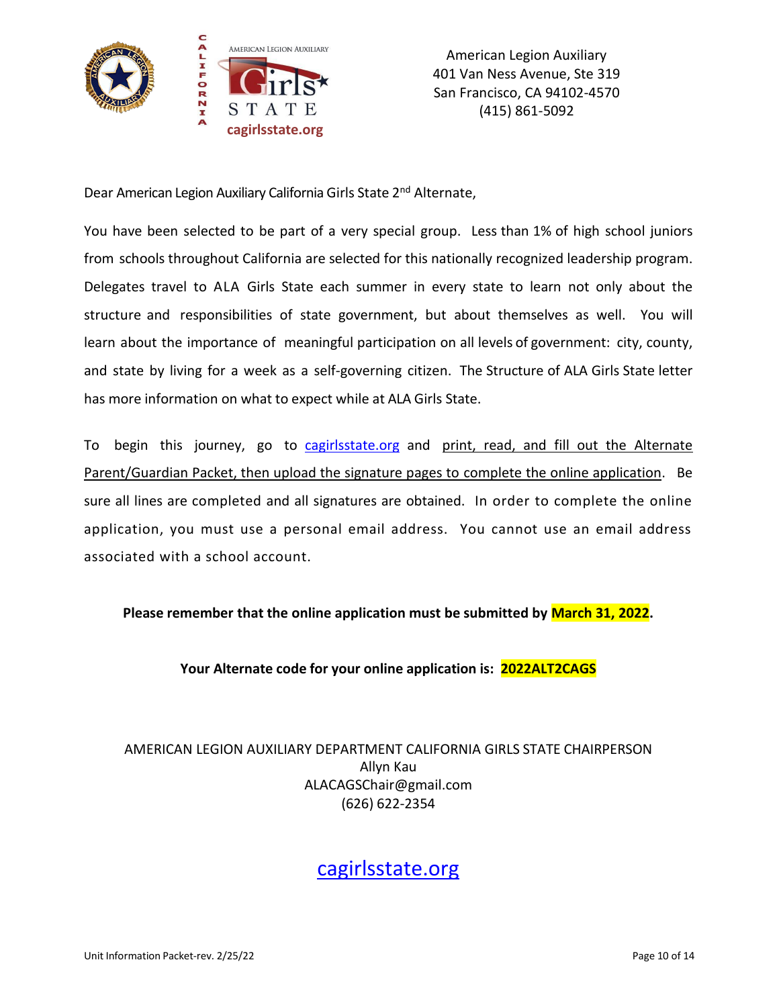

Dear American Legion Auxiliary California Girls State 2<sup>nd</sup> Alternate,

You have been selected to be part of a very special group. Less than 1% of high school juniors from schools throughout California are selected for this nationally recognized leadership program. Delegates travel to ALA Girls State each summer in every state to learn not only about the structure and responsibilities of state government, but about themselves as well. You will learn about the importance of meaningful participation on all levels of government: city, county, and state by living for a week as a self-governing citizen. The Structure of ALA Girls State letter has more information on what to expect while at ALA Girls State.

To begin this journey, go to [cagirlsstate.org](https://www.cagirlsstate.org/) and print, read, and fill out the Alternate Parent/Guardian Packet, then upload the signature pages to complete the online application. Be sure all lines are completed and all signatures are obtained. In order to complete the online application, you must use a personal email address. You cannot use an email address associated with a school account.

**Please remember that the online application must be submitted by March 31, 2022.**

**Your Alternate code for your online application is: 2022ALT2CAGS**

AMERICAN LEGION AUXILIARY DEPARTMENT CALIFORNIA GIRLS STATE CHAIRPERSON Allyn Kau ALACAGSChair@gmail.com (626) 622-2354

[cagirlsstate.org](https://www.cagirlsstate.org/)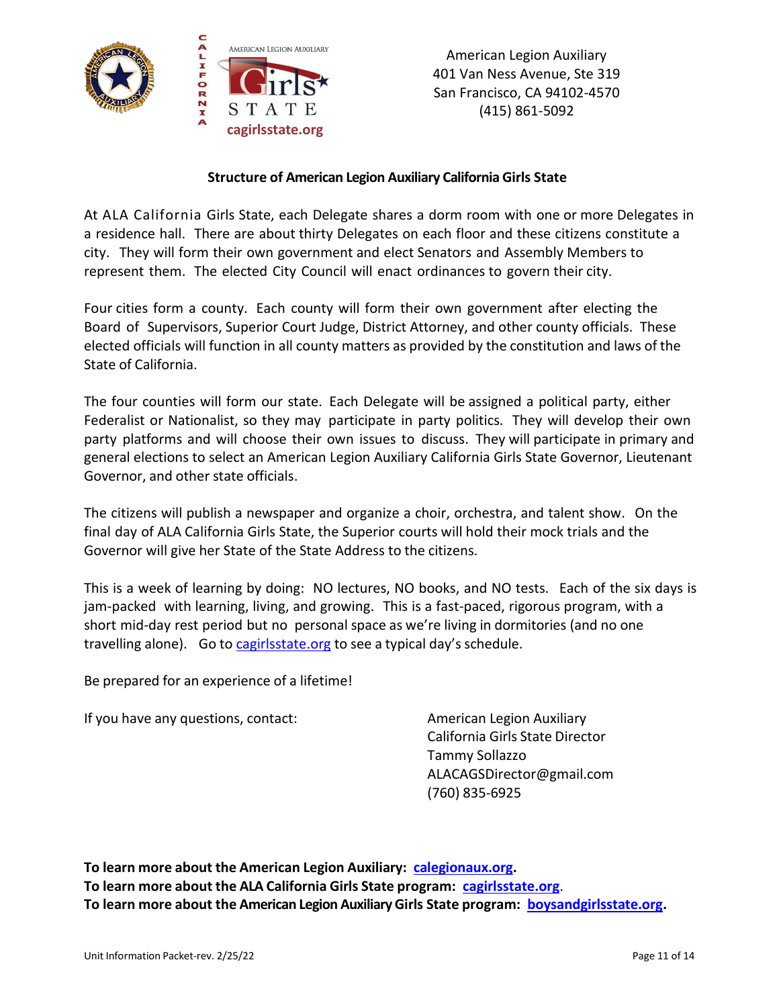

### **Structure of American Legion Auxiliary California Girls State**

At ALA California Girls State, each Delegate shares a dorm room with one or more Delegates in a residence hall. There are about thirty Delegates on each floor and these citizens constitute a city. They will form their own government and elect Senators and Assembly Members to represent them. The elected City Council will enact ordinances to govern their city.

Four cities form a county. Each county will form their own government after electing the Board of Supervisors, Superior Court Judge, District Attorney, and other county officials. These elected officials will function in all county matters as provided by the constitution and laws of the State of California.

The four counties will form our state. Each Delegate will be assigned a political party, either Federalist or Nationalist, so they may participate in party politics. They will develop their own party platforms and will choose their own issues to discuss. They will participate in primary and general elections to select an American Legion Auxiliary California Girls State Governor, Lieutenant Governor, and other state officials.

The citizens will publish a newspaper and organize a choir, orchestra, and talent show. On the final day of ALA California Girls State, the Superior courts will hold their mock trials and the Governor will give her State of the State Address to the citizens.

This is a week of learning by doing: NO lectures, NO books, and NO tests. Each of the six days is jam-packed with learning, living, and growing. This is a fast-paced, rigorous program, with a short mid-day rest period but no personal space as we're living in dormitories (and no one travelling alone). Go to [cagirlsstate.org](https://www.cagirlsstate.org/) to see a typical day's schedule.

Be prepared for an experience of a lifetime!

If you have any questions, contact: American Legion Auxiliary

California Girls State Director Tammy Sollazzo ALACAGSDirector@gmail.com (760) 835-6925

**To learn more about the American Legion Auxiliary: [calegionaux.org.](http://www.calegionaux.org/) To learn more about the ALA California Girls State program: [cagirlsstate.org](https://www.cagirlsstate.org/)**. **To learn more about the American Legion Auxiliary Girls State program: [boysandgirlsstate.org.](http://www.boysandgirlsstate.org/)**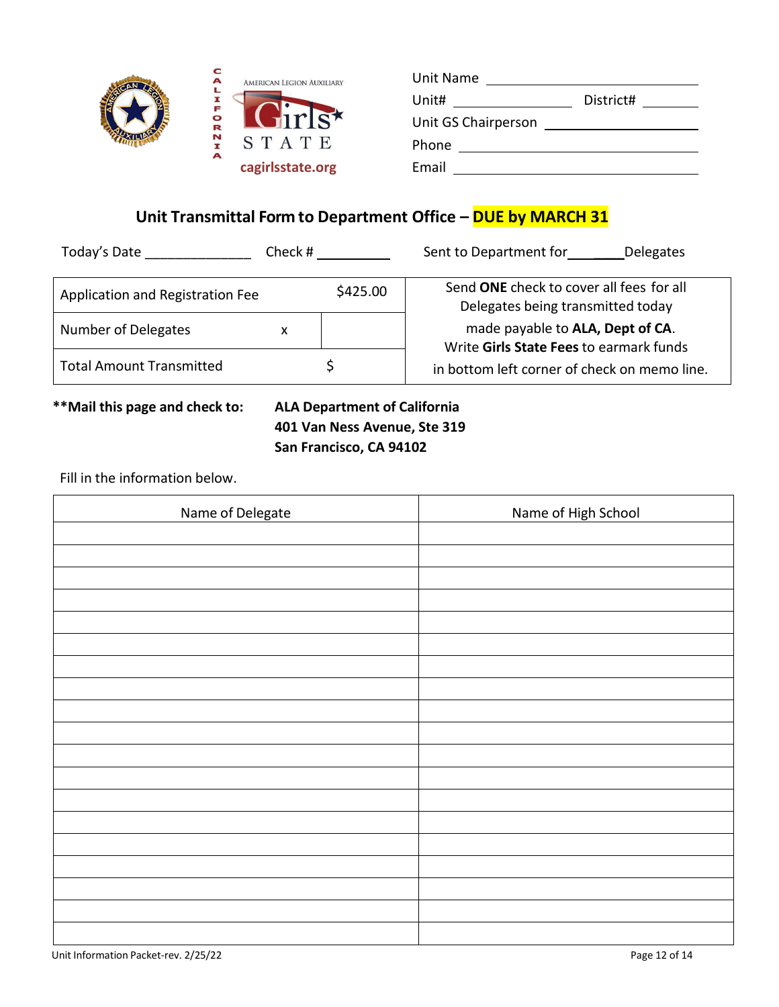| c<br>A | AMERICAN LEGION AUXILIARY | Unit Name           |           |
|--------|---------------------------|---------------------|-----------|
| I      |                           | Unit#               | District# |
| OR     | <b>SITIS</b> *            | Unit GS Chairperson |           |
| N      | STATE                     | Phone               |           |
| A      | cagirlsstate.org          | Email               |           |

# **Unit Transmittal Form to Department Office – DUE by MARCH 31**

| Today's Date                     | Check #  | Sent to Department for<br>Delegates                                           |
|----------------------------------|----------|-------------------------------------------------------------------------------|
| Application and Registration Fee | \$425.00 | Send ONE check to cover all fees for all<br>Delegates being transmitted today |
| <b>Number of Delegates</b>       | x        | made payable to ALA, Dept of CA.<br>Write Girls State Fees to earmark funds   |
| <b>Total Amount Transmitted</b>  |          | in bottom left corner of check on memo line.                                  |

# **\*\*Mail this page and check to: ALA Department of California 401 Van Ness Avenue, Ste 319 San Francisco, CA 94102**

Fill in the information below.

Ĭ

| Name of Delegate | Name of High School |
|------------------|---------------------|
|                  |                     |
|                  |                     |
|                  |                     |
|                  |                     |
|                  |                     |
|                  |                     |
|                  |                     |
|                  |                     |
|                  |                     |
|                  |                     |
|                  |                     |
|                  |                     |
|                  |                     |
|                  |                     |
|                  |                     |
|                  |                     |
|                  |                     |
|                  |                     |
|                  |                     |
|                  |                     |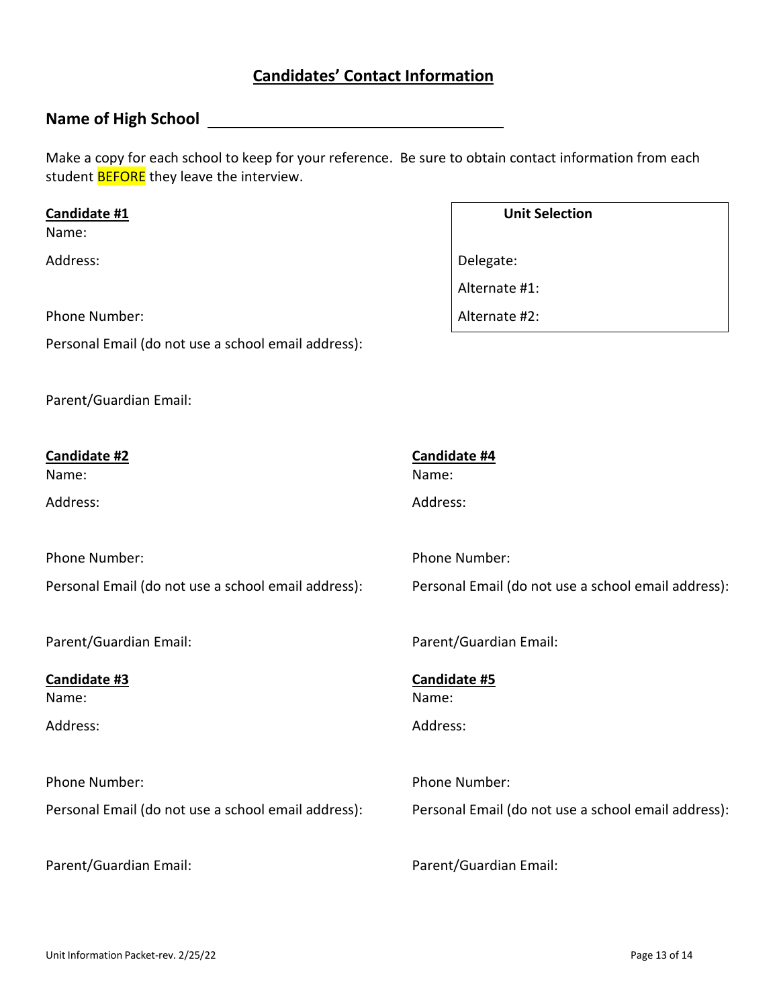# **Candidates' Contact Information**

## **Name of High School**

Make a copy for each school to keep for your reference. Be sure to obtain contact information from each student **BEFORE** they leave the interview.

Alternate #1:

#### **Candidate #1 Unit Selection**

Name:

Address: Delegate:

Phone Number:  $\blacksquare$  Alternate #2:

Personal Email (do not use a school email address):

Parent/Guardian Email:

**Candidate #2** Name: Address: Phone Number: Personal Email (do not use a school email address): Parent/Guardian Email: **Candidate #3** Name: Address: Phone Number: Personal Email (do not use a school email address): Parent/Guardian Email: **Candidate #4** Name: Address: Phone Number: Personal Email (do not use a school email address): Parent/Guardian Email: **Candidate #5** Name: Address: Phone Number: Personal Email (do not use a school email address): Parent/Guardian Email: